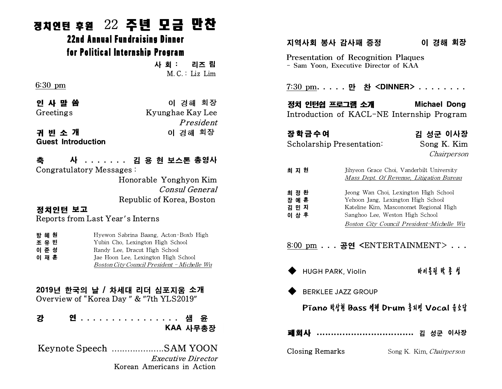# 정치인턴 후원 22 주년 모금 만찬 1 후원 22 주년 모금 만(<br>22nd Annual Fundraising Dinner<br>for Political Internshin Program i 후원 22 주년 모금 만찬<br>22nd Annual Fundraising Dinner<br>for Political Internship Program<br>사회: 리즈림

사 회 : 리즈 림 M. C. : Liz Lim .: Lız Lım<br>경해 회장<br>e Kay Lee<br>*President*<br>경해 회장

6:30 pm

인 사 말 씀 아이 그 아이 경해 회장 Greetings Kyunghae Kay Lee 귀 빈 소 개 이 경해 회장

Guest Introduction

축 사 . . . . . . . 김 용 현 보스톤 총영사 Congratulatory Messages : Honorable Yonghyon Kim Consul General Republic of Korea, Boston

### 정치인턴 보고 Reports from Last Year's Interns

| 방 혜 원 | Hyewon Sabrina Baang, Acton-Boxb High |
|-------|---------------------------------------|
| 조 유 빈 | Yubin Cho, Lexington High School      |
| 이 준 성 | Randy Lee, Dracut High School         |
| 이 재 훈 | Jae Hoon Lee, Lexington High School   |

Boston City Council President - Michelle Wu

### 2019년 한국의 날 / 차세대 리더 심포지움 소개 Overview of "Korea Day " & "7th YLS2019"

| 강 |  |  |  |  |  |  |  |  |  |  | 연 샘 윤    |  |  |  |  |
|---|--|--|--|--|--|--|--|--|--|--|----------|--|--|--|--|
|   |  |  |  |  |  |  |  |  |  |  | KAA 사무총장 |  |  |  |  |

Keynote Speech ....................SAM YOON Executive Director Korean Americans in Action

## 지역사회 봉사 감사패 증정 이 경해 회장

Presentation of Recognition Plaques - Sam Yoon, Executive Director of KAA

7:30 pm. . . . . 만 찬 <DINNER> . . . . . . . .

정치 인턴쉽 프로그램 소개 Michael Dong Introduction of KACL-NE Internship Program

장학금수여 기대 김 성군 이사장 Scholarship Presentation: Song K. Kim

Chairperson

| 최 지 현                            | Jihyeon Grace Choi, Vanderbilt University<br>Mass Dept. Of Revenue, Litigation Bureau                                                                                                                 |
|----------------------------------|-------------------------------------------------------------------------------------------------------------------------------------------------------------------------------------------------------|
| 최 정 완<br>장 예 훈<br>김 민 지<br>이 상 후 | Jeong Wan Choi, Lexington High School<br>Yehoon Jang, Lexington High School<br>Kateline Kim, Masconomet Regional High<br>Sanghoo Lee, Weston High School<br>Boston City Council President-Michelle Wu |

### 8:00 pm . . . 공연 <ENTERTAINMENT> . . .

- u HUGH PARK, Violin 바이올린 박 종 성
- 

## BERKLEE JAZZ GROUP<br>Pīano 박상현 Bass 벤젠 Drum 홍지면 Vocal 흉소당

폐회사 .................................. 김 성군 이사장

Closing Remarks Song K. Kim, Chairperson